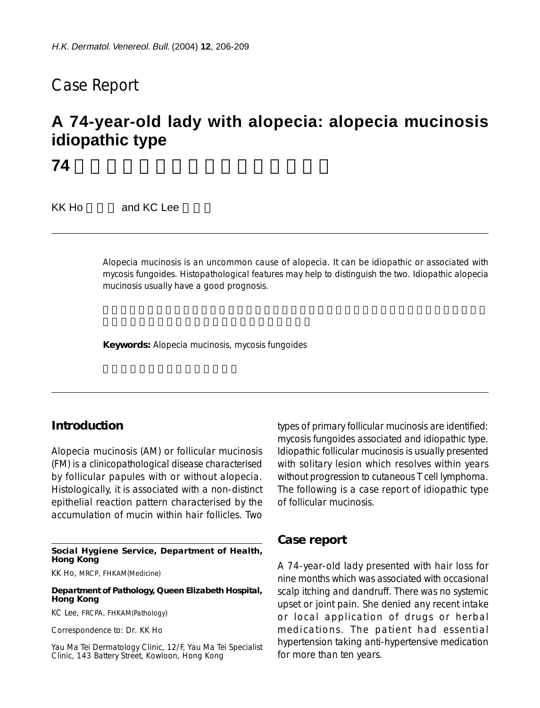### Case Report

# **A 74-year-old lady with alopecia: alopecia mucinosis idiopathic type**

## **74** 歲女患者的斑禿:特發型黏液性斑禿

KK Ho and KC Lee

Alopecia mucinosis is an uncommon cause of alopecia. It can be idiopathic or associated with mycosis fungoides. Histopathological features may help to distinguish the two. Idiopathic alopecia mucinosis usually have a good prognosis.

**Keywords:** Alopecia mucinosis, mycosis fungoides

#### **Introduction**

Alopecia mucinosis (AM) or follicular mucinosis (FM) is a clinicopathological disease characterised by follicular papules with or without alopecia. Histologically, it is associated with a non-distinct epithelial reaction pattern characterised by the accumulation of mucin within hair follicles. Two

**Social Hygiene Service, Department of Health, Hong Kong**

KK Ho, MRCP, FHKAM(Medicine)

**Department of Pathology, Queen Elizabeth Hospital, Hong Kong**

KC Lee, FRCPA, FHKAM(Pathology)

Correspondence to: Dr. KK Ho

Yau Ma Tei Dermatology Clinic, 12/F, Yau Ma Tei Specialist Clinic, 143 Battery Street, Kowloon, Hong Kong

types of primary follicular mucinosis are identified: mycosis fungoides associated and idiopathic type. Idiopathic follicular mucinosis is usually presented with solitary lesion which resolves within years without progression to cutaneous T cell lymphoma. The following is a case report of idiopathic type of follicular mucinosis.

#### **Case report**

A 74-year-old lady presented with hair loss for nine months which was associated with occasional scalp itching and dandruff. There was no systemic upset or joint pain. She denied any recent intake or local application of drugs or herbal medications. The patient had essential hypertension taking anti-hypertensive medication for more than ten years.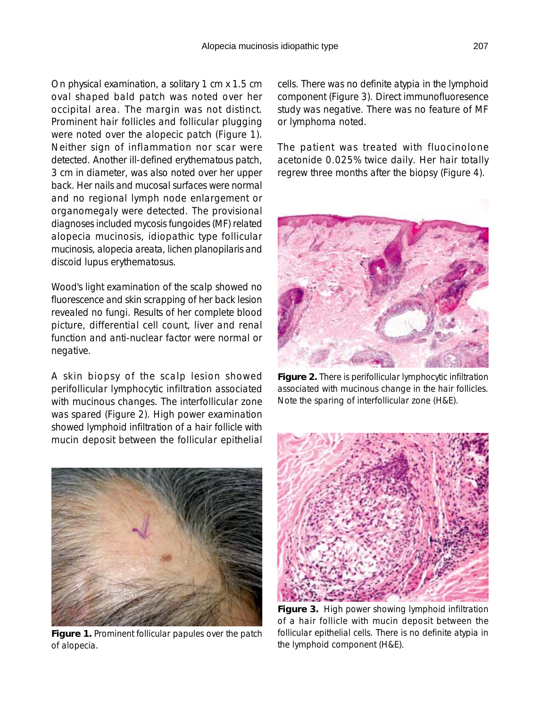On physical examination, a solitary 1 cm x 1.5 cm oval shaped bald patch was noted over her occipital area. The margin was not distinct. Prominent hair follicles and follicular plugging were noted over the alopecic patch (Figure 1). Neither sign of inflammation nor scar were detected. Another ill-defined erythematous patch, 3 cm in diameter, was also noted over her upper back. Her nails and mucosal surfaces were normal and no regional lymph node enlargement or organomegaly were detected. The provisional diagnoses included mycosis fungoides (MF) related alopecia mucinosis, idiopathic type follicular mucinosis, alopecia areata, lichen planopilaris and discoid lupus erythematosus.

Wood's light examination of the scalp showed no fluorescence and skin scrapping of her back lesion revealed no fungi. Results of her complete blood picture, differential cell count, liver and renal function and anti-nuclear factor were normal or negative.

A skin biopsy of the scalp lesion showed perifollicular lymphocytic infiltration associated with mucinous changes. The interfollicular zone was spared (Figure 2). High power examination showed lymphoid infiltration of a hair follicle with mucin deposit between the follicular epithelial



**Figure 1.** Prominent follicular papules over the patch of alopecia.

cells. There was no definite atypia in the lymphoid component (Figure 3). Direct immunofluoresence study was negative. There was no feature of MF or lymphoma noted.

The patient was treated with fluocinolone acetonide 0.025% twice daily. Her hair totally regrew three months after the biopsy (Figure 4).



**Figure 2.** There is perifollicular lymphocytic infiltration associated with mucinous change in the hair follicles. Note the sparing of interfollicular zone (H&E).



**Figure 3.** High power showing lymphoid infiltration of a hair follicle with mucin deposit between the follicular epithelial cells. There is no definite atypia in the lymphoid component (H&E).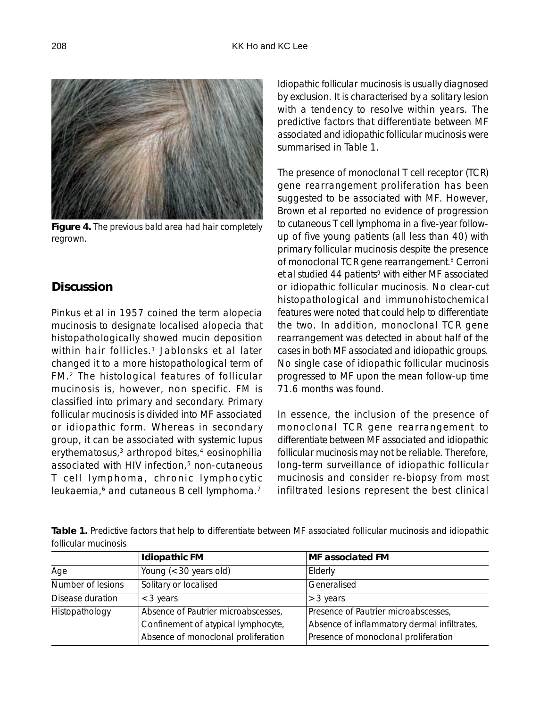

**Figure 4.** The previous bald area had hair completely regrown.

#### **Discussion**

Pinkus et al in 1957 coined the term alopecia mucinosis to designate localised alopecia that histopathologically showed mucin deposition within hair follicles.<sup>1</sup> Jablonsks et al later changed it to a more histopathological term of FM.2 The histological features of follicular mucinosis is, however, non specific. FM is classified into primary and secondary. Primary follicular mucinosis is divided into MF associated or idiopathic form. Whereas in secondary group, it can be associated with systemic lupus erythematosus,<sup>3</sup> arthropod bites,<sup>4</sup> eosinophilia associated with HIV infection,<sup>5</sup> non-cutaneous T cell lymphoma, chronic lymphocytic leukaemia,<sup>6</sup> and cutaneous B cell lymphoma.<sup>7</sup>

Idiopathic follicular mucinosis is usually diagnosed by exclusion. It is characterised by a solitary lesion with a tendency to resolve within years. The predictive factors that differentiate between MF associated and idiopathic follicular mucinosis were summarised in Table 1.

The presence of monoclonal T cell receptor (TCR) gene rearrangement proliferation has been suggested to be associated with MF. However, Brown et al reported no evidence of progression to cutaneous T cell lymphoma in a five-year followup of five young patients (all less than 40) with primary follicular mucinosis despite the presence of monoclonal TCR gene rearrangement.<sup>8</sup> Cerroni et al studied 44 patients<sup>9</sup> with either MF associated or idiopathic follicular mucinosis. No clear-cut histopathological and immunohistochemical features were noted that could help to differentiate the two. In addition, monoclonal TCR gene rearrangement was detected in about half of the cases in both MF associated and idiopathic groups. No single case of idiopathic follicular mucinosis progressed to MF upon the mean follow-up time 71.6 months was found.

In essence, the inclusion of the presence of monoclonal TCR gene rearrangement to differentiate between MF associated and idiopathic follicular mucinosis may not be reliable. Therefore, long-term surveillance of idiopathic follicular mucinosis and consider re-biopsy from most infiltrated lesions represent the best clinical

**Table 1.** Predictive factors that help to differentiate between MF associated follicular mucinosis and idiopathic follicular mucinosis

|                   | <b>Idiopathic FM</b>                | MF associated FM                            |
|-------------------|-------------------------------------|---------------------------------------------|
| Age               | Young (< 30 years old)              | Elderly                                     |
| Number of lesions | Solitary or localised               | Generalised                                 |
| Disease duration  | $<$ 3 years                         | $>3$ years                                  |
| Histopathology    | Absence of Pautrier microabscesses, | Presence of Pautrier microabscesses,        |
|                   | Confinement of atypical lymphocyte, | Absence of inflammatory dermal infiltrates, |
|                   | Absence of monoclonal proliferation | Presence of monoclonal proliferation        |